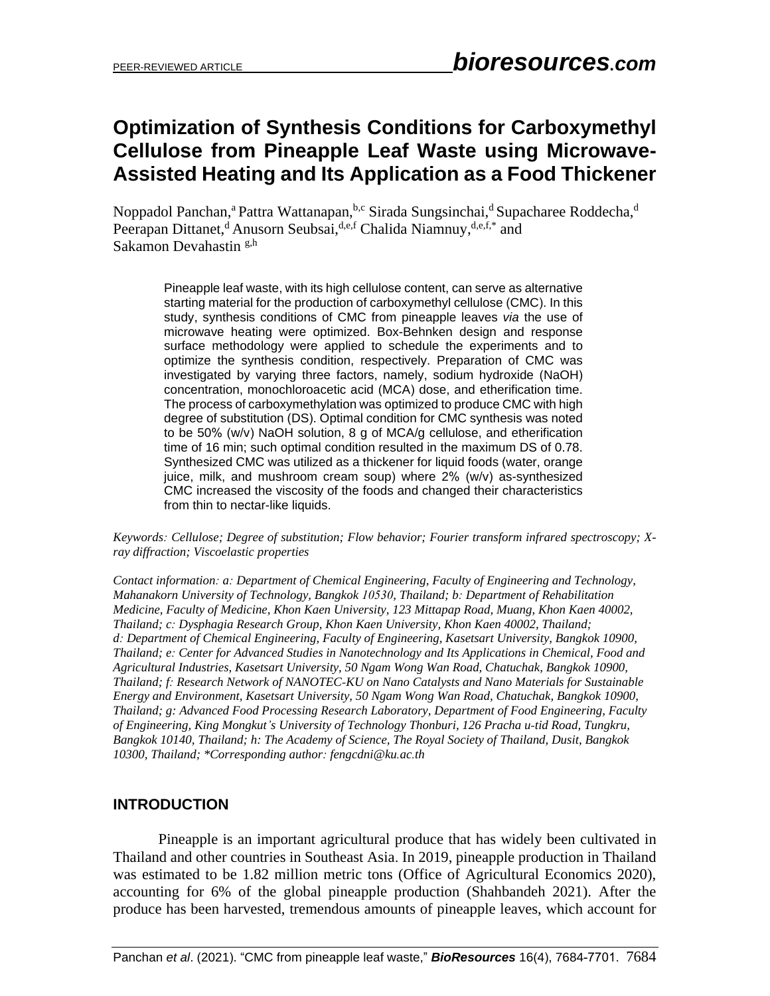# **Optimization of Synthesis Conditions for Carboxymethyl Cellulose from Pineapple Leaf Waste using Microwave-Assisted Heating and Its Application as a Food Thickener**

Noppadol Panchan,<sup>a</sup> Pattra Wattanapan,<sup>b,c</sup> Sirada Sungsinchai,<sup>d</sup> Supacharee Roddecha,<sup>d</sup> Peerapan Dittanet,<sup>d</sup> Anusorn Seubsai, d,e,f Chalida Niamnuy, d,e,f,\* and Sakamon Devahastin <sup>g,h</sup>

Pineapple leaf waste, with its high cellulose content, can serve as alternative starting material for the production of carboxymethyl cellulose (CMC). In this study, synthesis conditions of CMC from pineapple leaves *via* the use of microwave heating were optimized. Box-Behnken design and response surface methodology were applied to schedule the experiments and to optimize the synthesis condition, respectively. Preparation of CMC was investigated by varying three factors, namely, sodium hydroxide (NaOH) concentration, monochloroacetic acid (MCA) dose, and etherification time. The process of carboxymethylation was optimized to produce CMC with high degree of substitution (DS). Optimal condition for CMC synthesis was noted to be 50% (w/v) NaOH solution, 8 g of MCA/g cellulose, and etherification time of 16 min; such optimal condition resulted in the maximum DS of 0.78. Synthesized CMC was utilized as a thickener for liquid foods (water, orange juice, milk, and mushroom cream soup) where 2% (w/v) as-synthesized CMC increased the viscosity of the foods and changed their characteristics from thin to nectar-like liquids.

*Keywords: Cellulose; Degree of substitution; Flow behavior; Fourier transform infrared spectroscopy; Xray diffraction; Viscoelastic properties*

*Contact information: a: Department of Chemical Engineering, Faculty of Engineering and Technology, Mahanakorn University of Technology, Bangkok 10530, Thailand; b: Department of Rehabilitation Medicine, Faculty of Medicine, Khon Kaen University, 123 Mittapap Road, Muang, Khon Kaen 40002, Thailand; c: Dysphagia Research Group, Khon Kaen University, Khon Kaen 40002, Thailand; d: Department of Chemical Engineering, Faculty of Engineering, Kasetsart University, Bangkok 10900, Thailand; e: Center for Advanced Studies in Nanotechnology and Its Applications in Chemical, Food and Agricultural Industries, Kasetsart University, 50 Ngam Wong Wan Road, Chatuchak, Bangkok 10900, Thailand; f: Research Network of NANOTEC-KU on Nano Catalysts and Nano Materials for Sustainable Energy and Environment, Kasetsart University, 50 Ngam Wong Wan Road, Chatuchak, Bangkok 10900, Thailand; g: Advanced Food Processing Research Laboratory, Department of Food Engineering, Faculty of Engineering, King Mongkut's University of Technology Thonburi, 126 Pracha u-tid Road, Tungkru, Bangkok 10140, Thailand; h: The Academy of Science, The Royal Society of Thailand, Dusit, Bangkok 10300, Thailand; \*Corresponding author: fengcdni@ku.ac.th*

# **INTRODUCTION**

Pineapple is an important agricultural produce that has widely been cultivated in Thailand and other countries in Southeast Asia. In 2019, pineapple production in Thailand was estimated to be 1.82 million metric tons (Office of Agricultural Economics 2020), accounting for 6% of the global pineapple production (Shahbandeh 2021). After the produce has been harvested, tremendous amounts of pineapple leaves, which account for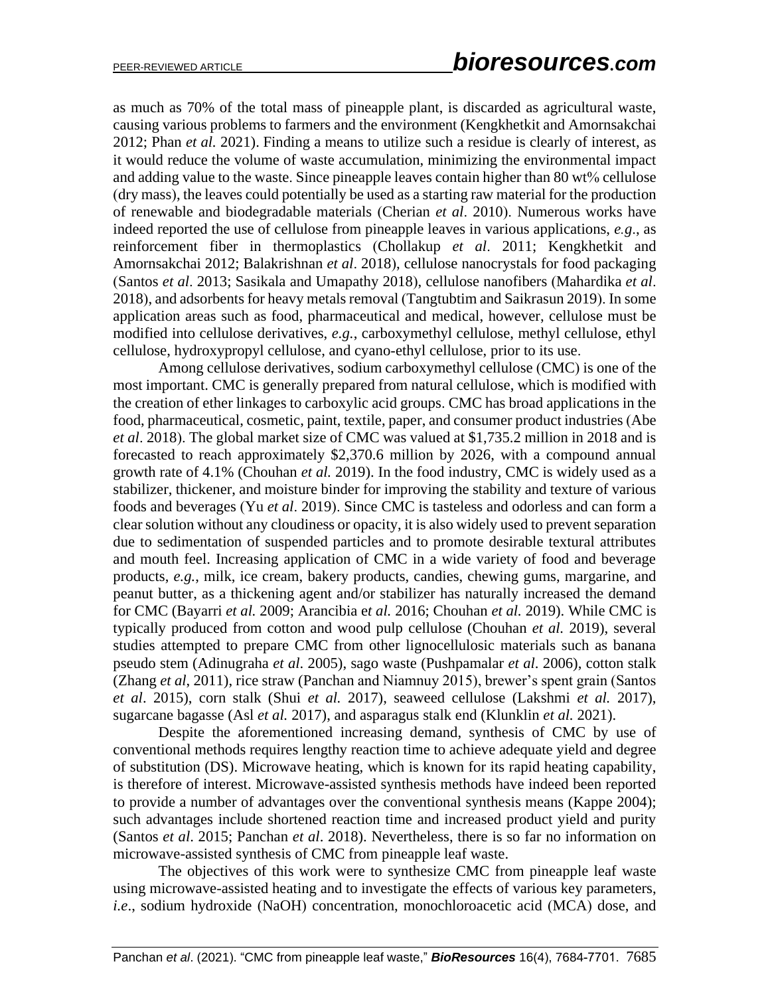as much as 70% of the total mass of pineapple plant, is discarded as agricultural waste, causing various problems to farmers and the environment (Kengkhetkit and Amornsakchai 2012; Phan *et al.* 2021). Finding a means to utilize such a residue is clearly of interest, as it would reduce the volume of waste accumulation, minimizing the environmental impact and adding value to the waste. Since pineapple leaves contain higher than 80 wt% cellulose (dry mass), the leaves could potentially be used as a starting raw material for the production of renewable and biodegradable materials (Cherian *et al*. 2010). Numerous works have indeed reported the use of cellulose from pineapple leaves in various applications, *e.g*., as reinforcement fiber in thermoplastics (Chollakup *et al*. 2011; Kengkhetkit and Amornsakchai 2012; Balakrishnan *et al*. 2018), cellulose nanocrystals for food packaging (Santos *et al*. 2013; Sasikala and Umapathy 2018), cellulose nanofibers (Mahardika *et al*. 2018), and adsorbents for heavy metals removal (Tangtubtim and Saikrasun 2019). In some application areas such as food, pharmaceutical and medical, however, cellulose must be modified into cellulose derivatives, *e.g.*, carboxymethyl cellulose, methyl cellulose, ethyl cellulose, hydroxypropyl cellulose, and cyano-ethyl cellulose, prior to its use.

Among cellulose derivatives, sodium carboxymethyl cellulose (CMC) is one of the most important. CMC is generally prepared from natural cellulose, which is modified with the creation of ether linkages to carboxylic acid groups. CMC has broad applications in the food, pharmaceutical, cosmetic, paint, textile, paper, and consumer product industries (Abe *et al*. 2018). The global market size of CMC was valued at \$1,735.2 million in 2018 and is forecasted to reach approximately \$2,370.6 million by 2026, with a compound annual growth rate of 4.1% (Chouhan *et al.* 2019). In the food industry, CMC is widely used as a stabilizer, thickener, and moisture binder for improving the stability and texture of various foods and beverages (Yu *et al*. 2019). Since CMC is tasteless and odorless and can form a clear solution without any cloudiness or opacity, it is also widely used to prevent separation due to sedimentation of suspended particles and to promote desirable textural attributes and mouth feel. Increasing application of CMC in a wide variety of food and beverage products, *e.g.*, milk, ice cream, bakery products, candies, chewing gums, margarine, and peanut butter, as a thickening agent and/or stabilizer has naturally increased the demand for CMC (Bayarri *et al.* 2009; Arancibia e*t al.* 2016; Chouhan *et al.* 2019). While CMC is typically produced from cotton and wood pulp cellulose (Chouhan *et al.* 2019), several studies attempted to prepare CMC from other lignocellulosic materials such as banana pseudo stem (Adinugraha *et al*. 2005), sago waste (Pushpamalar *et al*. 2006), cotton stalk (Zhang *et al*, 2011), rice straw (Panchan and Niamnuy 2015), brewer's spent grain (Santos *et al*. 2015), corn stalk (Shui *et al.* 2017), seaweed cellulose (Lakshmi *et al.* 2017), sugarcane bagasse (Asl *et al.* 2017), and asparagus stalk end (Klunklin *et al.* 2021).

Despite the aforementioned increasing demand, synthesis of CMC by use of conventional methods requires lengthy reaction time to achieve adequate yield and degree of substitution (DS). Microwave heating, which is known for its rapid heating capability, is therefore of interest. Microwave-assisted synthesis methods have indeed been reported to provide a number of advantages over the conventional synthesis means (Kappe 2004); such advantages include shortened reaction time and increased product yield and purity (Santos *et al*. 2015; Panchan *et al*. 2018). Nevertheless, there is so far no information on microwave-assisted synthesis of CMC from pineapple leaf waste.

The objectives of this work were to synthesize CMC from pineapple leaf waste using microwave-assisted heating and to investigate the effects of various key parameters, *i.e*., sodium hydroxide (NaOH) concentration, monochloroacetic acid (MCA) dose, and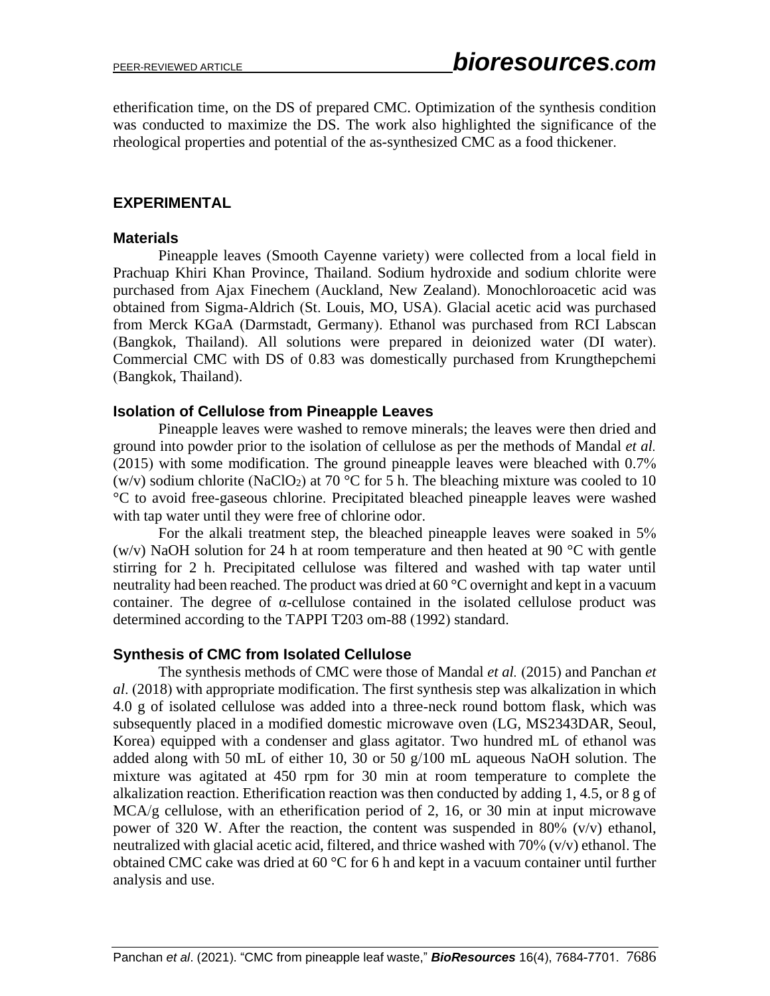etherification time, on the DS of prepared CMC. Optimization of the synthesis condition was conducted to maximize the DS. The work also highlighted the significance of the rheological properties and potential of the as-synthesized CMC as a food thickener.

# **EXPERIMENTAL**

### **Materials**

Pineapple leaves (Smooth Cayenne variety) were collected from a local field in Prachuap Khiri Khan Province, Thailand. Sodium hydroxide and sodium chlorite were purchased from Ajax Finechem (Auckland, New Zealand). Monochloroacetic acid was obtained from Sigma-Aldrich (St. Louis, MO, USA). Glacial acetic acid was purchased from Merck KGaA (Darmstadt, Germany). Ethanol was purchased from RCI Labscan (Bangkok, Thailand). All solutions were prepared in deionized water (DI water). Commercial CMC with DS of 0.83 was domestically purchased from Krungthepchemi (Bangkok, Thailand).

## **Isolation of Cellulose from Pineapple Leaves**

Pineapple leaves were washed to remove minerals; the leaves were then dried and ground into powder prior to the isolation of cellulose as per the methods of Mandal *et al.* (2015) with some modification. The ground pineapple leaves were bleached with 0.7% (w/v) sodium chlorite (NaClO<sub>2</sub>) at 70 °C for 5 h. The bleaching mixture was cooled to 10 °C to avoid free-gaseous chlorine. Precipitated bleached pineapple leaves were washed with tap water until they were free of chlorine odor.

For the alkali treatment step, the bleached pineapple leaves were soaked in 5% (w/v) NaOH solution for 24 h at room temperature and then heated at 90  $^{\circ}$ C with gentle stirring for 2 h. Precipitated cellulose was filtered and washed with tap water until neutrality had been reached. The product was dried at 60 °C overnight and kept in a vacuum container. The degree of α-cellulose contained in the isolated cellulose product was determined according to the TAPPI T203 om-88 (1992) standard.

# **Synthesis of CMC from Isolated Cellulose**

The synthesis methods of CMC were those of Mandal *et al.* (2015) and Panchan *et al*. (2018) with appropriate modification. The first synthesis step was alkalization in which 4.0 g of isolated cellulose was added into a three-neck round bottom flask, which was subsequently placed in a modified domestic microwave oven (LG, MS2343DAR, Seoul, Korea) equipped with a condenser and glass agitator. Two hundred mL of ethanol was added along with 50 mL of either 10, 30 or 50 g/100 mL aqueous NaOH solution. The mixture was agitated at 450 rpm for 30 min at room temperature to complete the alkalization reaction. Etherification reaction was then conducted by adding 1, 4.5, or 8 g of MCA/g cellulose, with an etherification period of 2, 16, or 30 min at input microwave power of 320 W. After the reaction, the content was suspended in 80% (v/v) ethanol, neutralized with glacial acetic acid, filtered, and thrice washed with  $70\%$  ( $v/v$ ) ethanol. The obtained CMC cake was dried at 60 °C for 6 h and kept in a vacuum container until further analysis and use.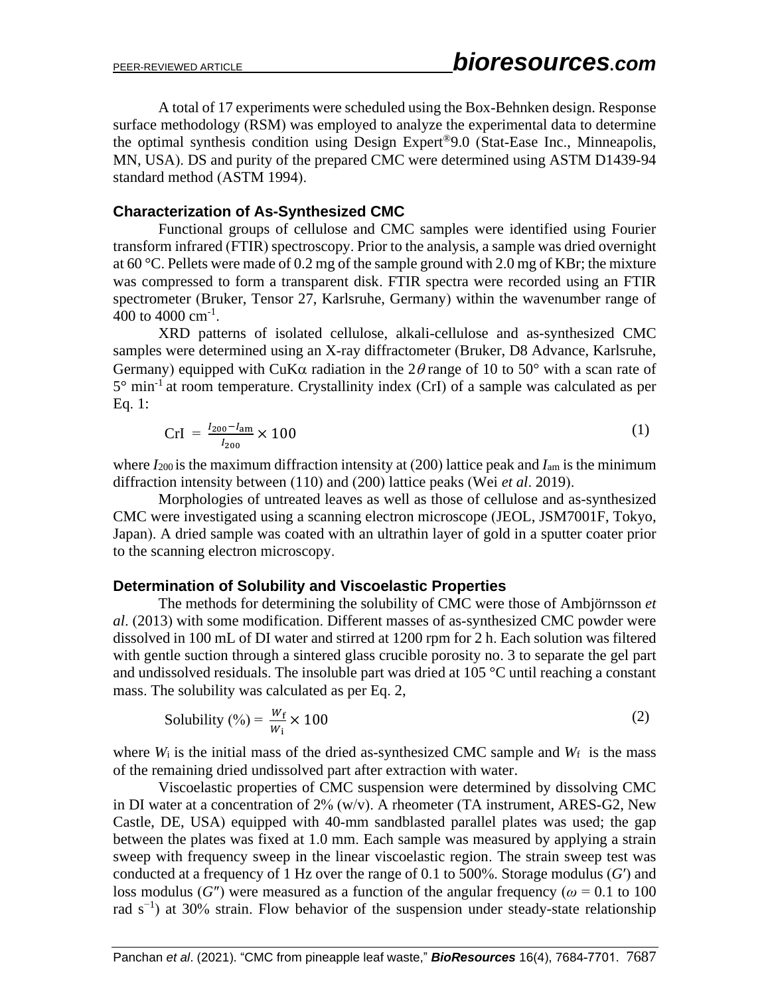A total of 17 experiments were scheduled using the Box-Behnken design. Response surface methodology (RSM) was employed to analyze the experimental data to determine the optimal synthesis condition using Design Expert®9.0 (Stat-Ease Inc., Minneapolis, MN, USA). DS and purity of the prepared CMC were determined using ASTM D1439-94 standard method (ASTM 1994).

#### **Characterization of As-Synthesized CMC**

Functional groups of cellulose and CMC samples were identified using Fourier transform infrared (FTIR) spectroscopy. Prior to the analysis, a sample was dried overnight at 60 °C. Pellets were made of 0.2 mg of the sample ground with 2.0 mg of KBr; the mixture was compressed to form a transparent disk. FTIR spectra were recorded using an FTIR spectrometer (Bruker, Tensor 27, Karlsruhe, Germany) within the wavenumber range of 400 to 4000  $\text{cm}^{\text{-1}}$ .

XRD patterns of isolated cellulose, alkali-cellulose and as-synthesized CMC samples were determined using an X-ray diffractometer (Bruker, D8 Advance, Karlsruhe, Germany) equipped with CuK $\alpha$  radiation in the 2 $\theta$  range of 10 to 50° with a scan rate of  $5^{\circ}$  min<sup>-1</sup> at room temperature. Crystallinity index (CrI) of a sample was calculated as per Eq. 1:

$$
CrI = \frac{I_{200} - I_{\text{am}}}{I_{200}} \times 100
$$
 (1)

where *I*<sup>200</sup> is the maximum diffraction intensity at (200) lattice peak and *I*am is the minimum diffraction intensity between (110) and (200) lattice peaks (Wei *et al*. 2019).

Morphologies of untreated leaves as well as those of cellulose and as-synthesized CMC were investigated using a scanning electron microscope (JEOL, JSM7001F, Tokyo, Japan). A dried sample was coated with an ultrathin layer of gold in a sputter coater prior to the scanning electron microscopy.

#### **Determination of Solubility and Viscoelastic Properties**

The methods for determining the solubility of CMC were those of Ambjörnsson *et al*. (2013) with some modification. Different masses of as-synthesized CMC powder were dissolved in 100 mL of DI water and stirred at 1200 rpm for 2 h. Each solution was filtered with gentle suction through a sintered glass crucible porosity no. 3 to separate the gel part and undissolved residuals. The insoluble part was dried at 105 °C until reaching a constant mass. The solubility was calculated as per Eq. 2,

Solubility (
$$
% = \frac{w_f}{w_i} \times 100
$$
 (2)

where  $W_i$  is the initial mass of the dried as-synthesized CMC sample and  $W_f$  is the mass of the remaining dried undissolved part after extraction with water.

Viscoelastic properties of CMC suspension were determined by dissolving CMC in DI water at a concentration of 2% (w/v). A rheometer (TA instrument, ARES-G2, New Castle, DE, USA) equipped with 40-mm sandblasted parallel plates was used; the gap between the plates was fixed at 1.0 mm. Each sample was measured by applying a strain sweep with frequency sweep in the linear viscoelastic region. The strain sweep test was conducted at a frequency of 1 Hz over the range of 0.1 to 500%. Storage modulus (*G*′) and loss modulus (*G*<sup>"</sup>) were measured as a function of the angular frequency ( $\omega$  = 0.1 to 100 rad s<sup>-1</sup>) at 30% strain. Flow behavior of the suspension under steady-state relationship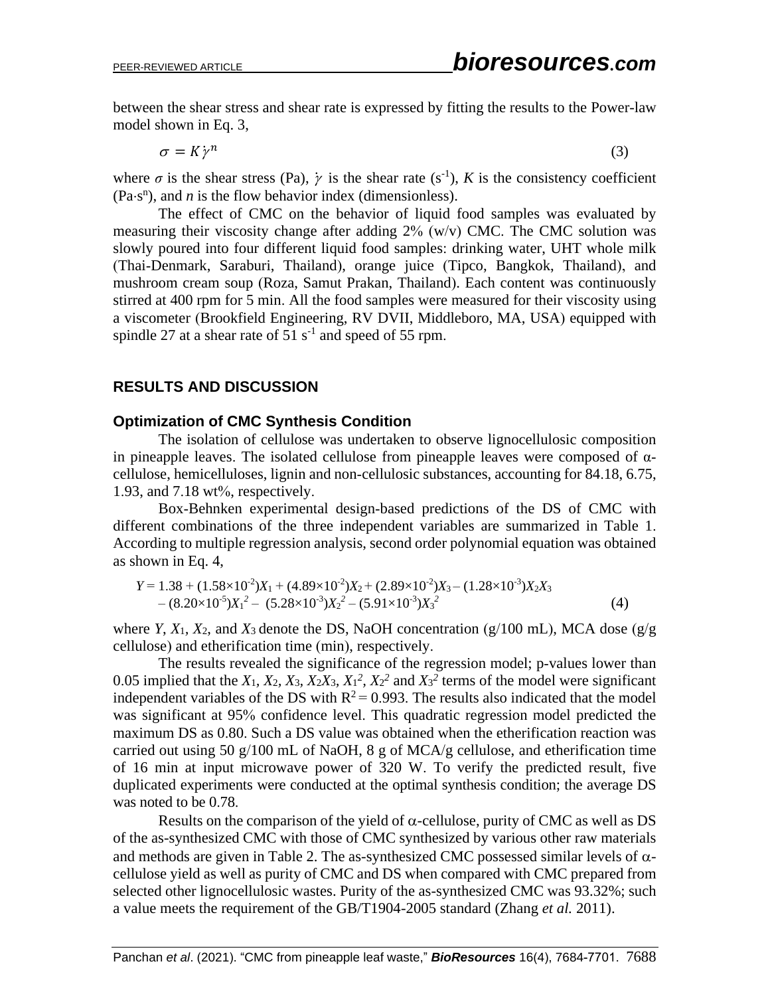between the shear stress and shear rate is expressed by fitting the results to the Power-law model shown in Eq. 3,

$$
\sigma = K \dot{\gamma}^n \tag{3}
$$

where  $\sigma$  is the shear stress (Pa),  $\dot{\gamma}$  is the shear rate (s<sup>-1</sup>), *K* is the consistency coefficient  $(Pa·s<sup>n</sup>)$ , and *n* is the flow behavior index (dimensionless).

The effect of CMC on the behavior of liquid food samples was evaluated by measuring their viscosity change after adding 2% (w/v) CMC. The CMC solution was slowly poured into four different liquid food samples: drinking water, UHT whole milk (Thai-Denmark, Saraburi, Thailand), orange juice (Tipco, Bangkok, Thailand), and mushroom cream soup (Roza, Samut Prakan, Thailand). Each content was continuously stirred at 400 rpm for 5 min. All the food samples were measured for their viscosity using a viscometer (Brookfield Engineering, RV DVII, Middleboro, MA, USA) equipped with spindle 27 at a shear rate of  $51 \text{ s}^{-1}$  and speed of 55 rpm.

## **RESULTS AND DISCUSSION**

#### **Optimization of CMC Synthesis Condition**

The isolation of cellulose was undertaken to observe lignocellulosic composition in pineapple leaves. The isolated cellulose from pineapple leaves were composed of  $\alpha$ cellulose, hemicelluloses, lignin and non-cellulosic substances, accounting for 84.18, 6.75, 1.93, and 7.18 wt%, respectively.

Box-Behnken experimental design-based predictions of the DS of CMC with different combinations of the three independent variables are summarized in Table 1. According to multiple regression analysis, second order polynomial equation was obtained as shown in Eq. 4,

$$
Y = 1.38 + (1.58 \times 10^{-2})X_1 + (4.89 \times 10^{-2})X_2 + (2.89 \times 10^{-2})X_3 - (1.28 \times 10^{-3})X_2X_3 - (8.20 \times 10^{-5})X_1^2 - (5.28 \times 10^{-3})X_2^2 - (5.91 \times 10^{-3})X_3^2
$$
\n(4)

where *Y*,  $X_1$ ,  $X_2$ , and  $X_3$  denote the DS, NaOH concentration (g/100 mL), MCA dose (g/g cellulose) and etherification time (min), respectively.

The results revealed the significance of the regression model; p-values lower than 0.05 implied that the  $X_1$ ,  $X_2$ ,  $X_3$ ,  $X_2X_3$ ,  $X_1^2$ ,  $X_2^2$  and  $X_3^2$  terms of the model were significant independent variables of the DS with  $R^2 = 0.993$ . The results also indicated that the model was significant at 95% confidence level. This quadratic regression model predicted the maximum DS as 0.80. Such a DS value was obtained when the etherification reaction was carried out using 50 g/100 mL of NaOH, 8 g of MCA/g cellulose, and etherification time of 16 min at input microwave power of 320 W. To verify the predicted result, five duplicated experiments were conducted at the optimal synthesis condition; the average DS was noted to be 0.78.

Results on the comparison of the yield of  $\alpha$ -cellulose, purity of CMC as well as DS of the as-synthesized CMC with those of CMC synthesized by various other raw materials and methods are given in Table 2. The as-synthesized CMC possessed similar levels of  $\alpha$ cellulose yield as well as purity of CMC and DS when compared with CMC prepared from selected other lignocellulosic wastes. Purity of the as-synthesized CMC was 93.32%; such a value meets the requirement of the GB/T1904-2005 standard (Zhang *et al.* 2011).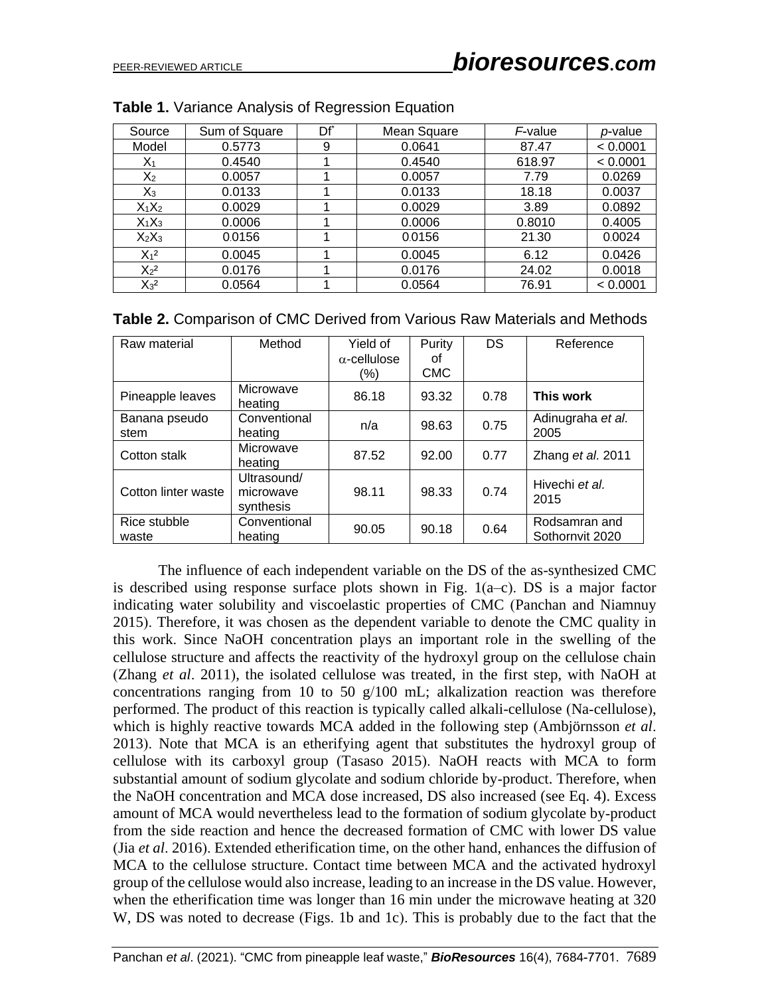| Source   | Sum of Square | Df <sup>*</sup> | Mean Square | F-value | p-value  |
|----------|---------------|-----------------|-------------|---------|----------|
| Model    | 0.5773        | 9               | 0.0641      | 87.47   | < 0.0001 |
| $X_1$    | 0.4540        |                 | 0.4540      | 618.97  | < 0.0001 |
| $X_2$    | 0.0057        |                 | 0.0057      | 7.79    | 0.0269   |
| $X_3$    | 0.0133        |                 | 0.0133      | 18.18   | 0.0037   |
| $X_1X_2$ | 0.0029        |                 | 0.0029      | 3.89    | 0.0892   |
| $X_1X_3$ | 0.0006        |                 | 0.0006      | 0.8010  | 0.4005   |
| $X_2X_3$ | 0.0156        |                 | 0.0156      | 21.30   | 0.0024   |
| $X_1^2$  | 0.0045        |                 | 0.0045      | 6.12    | 0.0426   |
| $X_2^2$  | 0.0176        |                 | 0.0176      | 24.02   | 0.0018   |
| $X_3^2$  | 0.0564        |                 | 0.0564      | 76.91   | < 0.0001 |

| <b>Table 2.</b> Comparison of CMC Derived from Various Raw Materials and Methods |  |
|----------------------------------------------------------------------------------|--|
|----------------------------------------------------------------------------------|--|

| Raw material          | Method                                | Yield of<br>$\alpha$ -cellulose<br>(%) | Purity<br>οf<br><b>CMC</b> | DS   | Reference                        |
|-----------------------|---------------------------------------|----------------------------------------|----------------------------|------|----------------------------------|
| Pineapple leaves      | Microwave<br>heating                  | 86.18                                  | 93.32                      | 0.78 | This work                        |
| Banana pseudo<br>stem | Conventional<br>heating               | n/a                                    | 98.63                      | 0.75 | Adinugraha et al.<br>2005        |
| Cotton stalk          | Microwave<br>heating                  | 87.52                                  | 92.00                      | 0.77 | Zhang et al. 2011                |
| Cotton linter waste   | Ultrasound/<br>microwave<br>synthesis | 98.11                                  | 98.33                      | 0.74 | Hivechi et al.<br>2015           |
| Rice stubble<br>waste | Conventional<br>heating               | 90.05                                  | 90.18                      | 0.64 | Rodsamran and<br>Sothornvit 2020 |

The influence of each independent variable on the DS of the as-synthesized CMC is described using response surface plots shown in Fig. 1(a–c). DS is a major factor indicating water solubility and viscoelastic properties of CMC (Panchan and Niamnuy 2015). Therefore, it was chosen as the dependent variable to denote the CMC quality in this work. Since NaOH concentration plays an important role in the swelling of the cellulose structure and affects the reactivity of the hydroxyl group on the cellulose chain (Zhang *et al*. 2011), the isolated cellulose was treated, in the first step, with NaOH at concentrations ranging from 10 to 50  $g/100$  mL; alkalization reaction was therefore performed. The product of this reaction is typically called alkali-cellulose (Na-cellulose), which is highly reactive towards MCA added in the following step (Ambjörnsson *et al*. 2013). Note that MCA is an etherifying agent that substitutes the hydroxyl group of cellulose with its carboxyl group (Tasaso 2015). NaOH reacts with MCA to form substantial amount of sodium glycolate and sodium chloride by-product. Therefore, when the NaOH concentration and MCA dose increased, DS also increased (see Eq. 4). Excess amount of MCA would nevertheless lead to the formation of sodium glycolate by-product from the side reaction and hence the decreased formation of CMC with lower DS value (Jia *et al*. 2016). Extended etherification time, on the other hand, enhances the diffusion of MCA to the cellulose structure. Contact time between MCA and the activated hydroxyl group of the cellulose would also increase, leading to an increase in the DS value. However, when the etherification time was longer than 16 min under the microwave heating at 320 W, DS was noted to decrease (Figs. 1b and 1c). This is probably due to the fact that the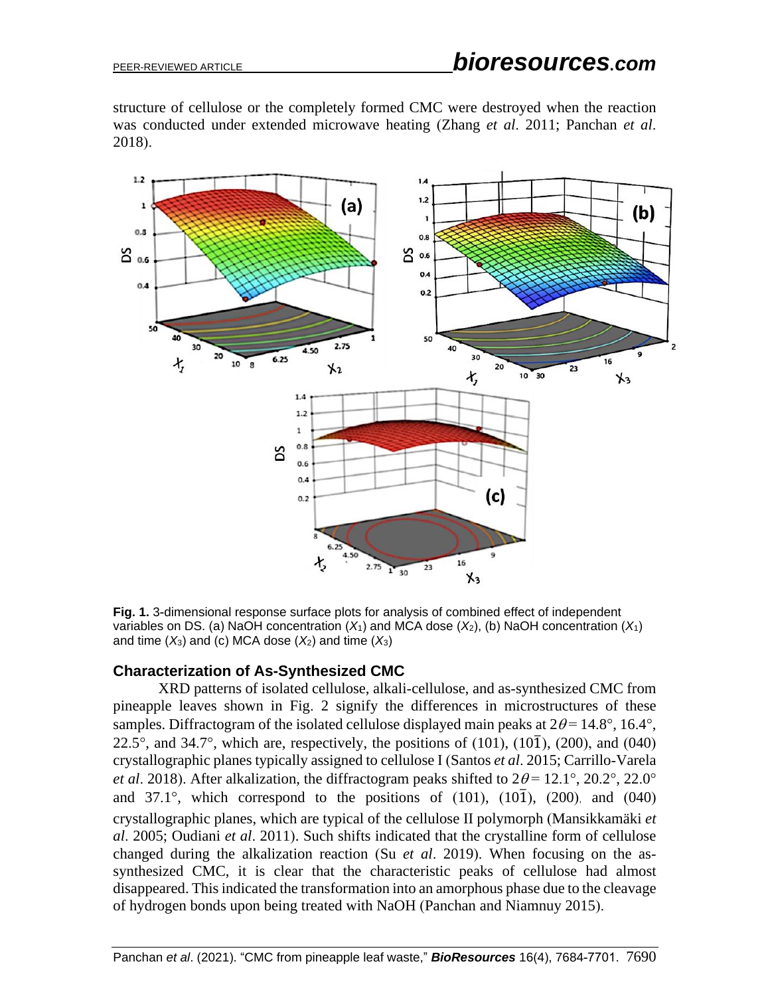structure of cellulose or the completely formed CMC were destroyed when the reaction was conducted under extended microwave heating (Zhang *et al*. 2011; Panchan *et al*. 2018).



**Fig. 1.** 3-dimensional response surface plots for analysis of combined effect of independent variables on DS. (a) NaOH concentration  $(X_1)$  and MCA dose  $(X_2)$ , (b) NaOH concentration  $(X_1)$ and time  $(X_3)$  and (c) MCA dose  $(X_2)$  and time  $(X_3)$ 

#### **Characterization of As-Synthesized CMC**

XRD patterns of isolated cellulose, alkali-cellulose, and as-synthesized CMC from pineapple leaves shown in Fig. 2 signify the differences in microstructures of these samples. Diffractogram of the isolated cellulose displayed main peaks at  $2\theta = 14.8^{\circ}$ , 16.4°, 22.5°, and 34.7°, which are, respectively, the positions of (101), (10 $\overline{1}$ ), (200), and (040) crystallographic planes typically assigned to cellulose I (Santos *et al*. 2015; Carrillo-Varela *et al.* 2018). After alkalization, the diffractogram peaks shifted to  $2\theta = 12.1^{\circ}$ ,  $20.2^{\circ}$ ,  $22.0^{\circ}$ and 37.1°, which correspond to the positions of  $(101)$ ,  $(10\overline{1})$ ,  $(200)$ , and  $(040)$ crystallographic planes, which are typical of the cellulose II polymorph (Mansikkamäki *et al*. 2005; Oudiani *et al*. 2011). Such shifts indicated that the crystalline form of cellulose changed during the alkalization reaction (Su *et al*. 2019). When focusing on the assynthesized CMC, it is clear that the characteristic peaks of cellulose had almost disappeared. This indicated the transformation into an amorphous phase due to the cleavage of hydrogen bonds upon being treated with NaOH (Panchan and Niamnuy 2015).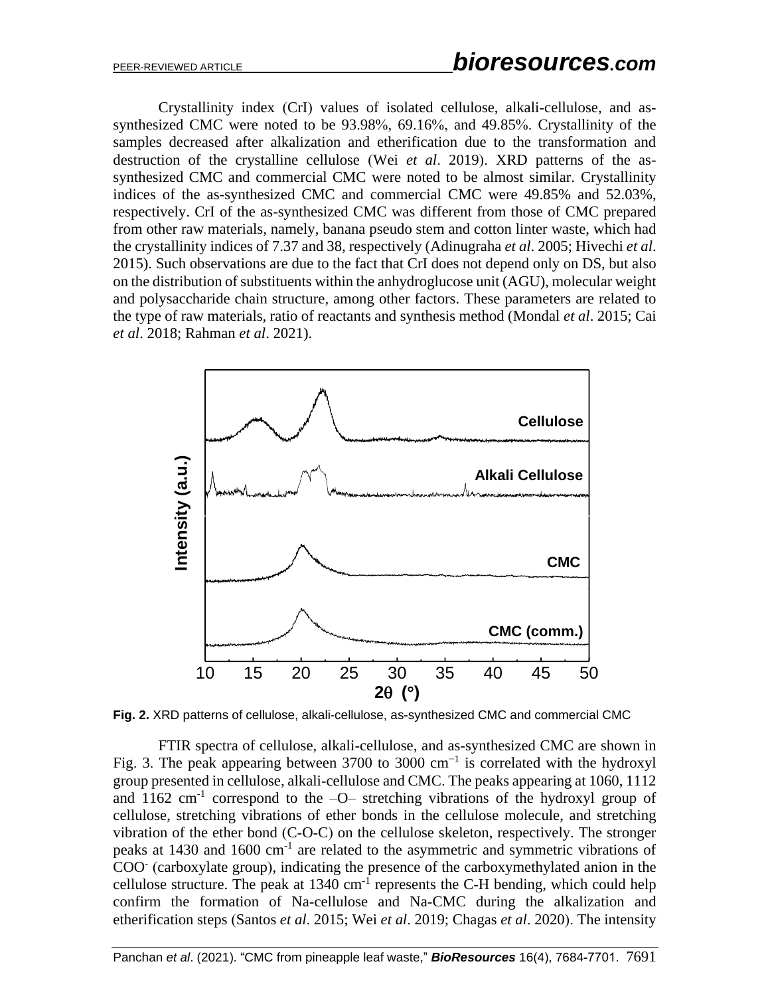Crystallinity index (CrI) values of isolated cellulose, alkali-cellulose, and assynthesized CMC were noted to be 93.98%, 69.16%, and 49.85%. Crystallinity of the samples decreased after alkalization and etherification due to the transformation and destruction of the crystalline cellulose (Wei *et al*. 2019). XRD patterns of the assynthesized CMC and commercial CMC were noted to be almost similar. Crystallinity indices of the as-synthesized CMC and commercial CMC were 49.85% and 52.03%, respectively. CrI of the as-synthesized CMC was different from those of CMC prepared from other raw materials, namely, banana pseudo stem and cotton linter waste, which had the crystallinity indices of 7.37 and 38, respectively (Adinugraha *et al*. 2005; Hivechi *et al*. 2015). Such observations are due to the fact that CrI does not depend only on DS, but also on the distribution of substituents within the anhydroglucose unit (AGU), molecular weight and polysaccharide chain structure, among other factors. These parameters are related to the type of raw materials, ratio of reactants and synthesis method (Mondal *et al*. 2015; Cai *et al*. 2018; Rahman *et al*. 2021).



**Fig. 2.** XRD patterns of cellulose, alkali-cellulose, as-synthesized CMC and commercial CMC

FTIR spectra of cellulose, alkali-cellulose, and as-synthesized CMC are shown in Fig. 3. The peak appearing between 3700 to 3000  $cm^{-1}$  is correlated with the hydroxyl group presented in cellulose, alkali-cellulose and CMC. The peaks appearing at 1060, 1112 and  $1162 \text{ cm}^{-1}$  correspond to the  $-O-$  stretching vibrations of the hydroxyl group of cellulose, stretching vibrations of ether bonds in the cellulose molecule, and stretching vibration of the ether bond (C-O-C) on the cellulose skeleton, respectively. The stronger peaks at 1430 and 1600 cm<sup>-1</sup> are related to the asymmetric and symmetric vibrations of COO<sup>-</sup> (carboxylate group), indicating the presence of the carboxymethylated anion in the cellulose structure. The peak at  $1340 \text{ cm}^{-1}$  represents the C-H bending, which could help confirm the formation of Na-cellulose and Na-CMC during the alkalization and etherification steps (Santos *et al*. 2015; Wei *et al*. 2019; Chagas *et al*. 2020). The intensity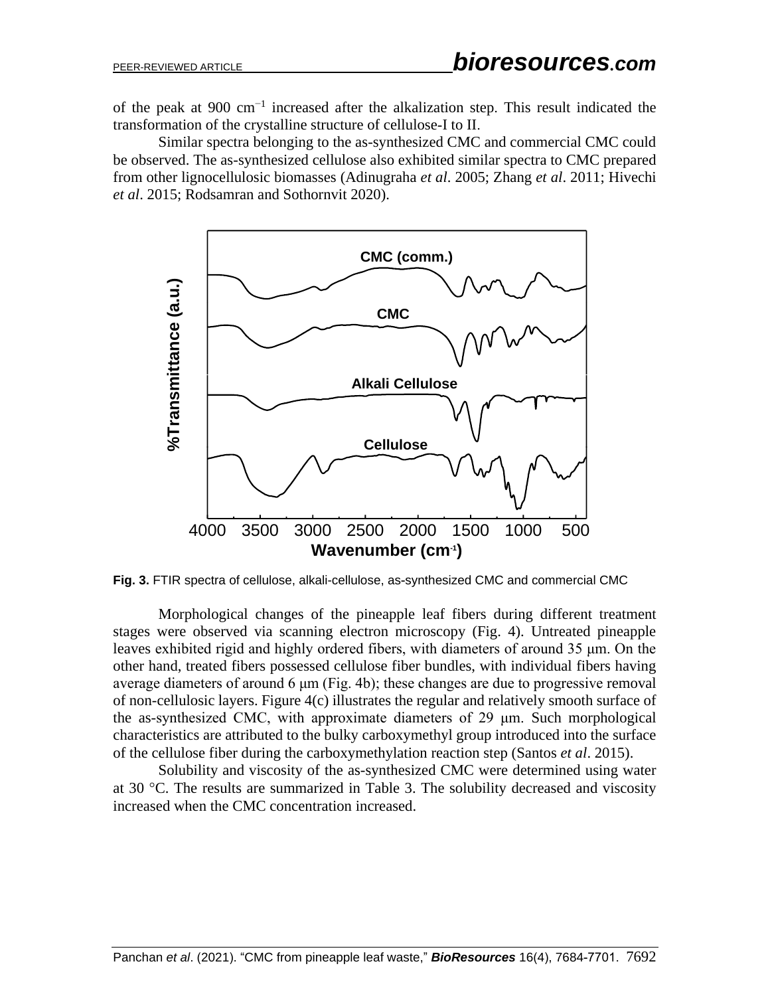of the peak at 900 cm−1 increased after the alkalization step. This result indicated the transformation of the crystalline structure of cellulose-I to II.

Similar spectra belonging to the as-synthesized CMC and commercial CMC could be observed. The as-synthesized cellulose also exhibited similar spectra to CMC prepared from other lignocellulosic biomasses (Adinugraha *et al*. 2005; Zhang *et al*. 2011; Hivechi *et al*. 2015; Rodsamran and Sothornvit 2020).



**Fig. 3.** FTIR spectra of cellulose, alkali-cellulose, as-synthesized CMC and commercial CMC

Morphological changes of the pineapple leaf fibers during different treatment stages were observed via scanning electron microscopy (Fig. 4). Untreated pineapple leaves exhibited rigid and highly ordered fibers, with diameters of around 35 μm. On the other hand, treated fibers possessed cellulose fiber bundles, with individual fibers having average diameters of around 6 μm (Fig. 4b); these changes are due to progressive removal of non-cellulosic layers. Figure 4(c) illustrates the regular and relatively smooth surface of the as-synthesized CMC, with approximate diameters of 29 μm. Such morphological characteristics are attributed to the bulky carboxymethyl group introduced into the surface of the cellulose fiber during the carboxymethylation reaction step (Santos *et al*. 2015).

Solubility and viscosity of the as-synthesized CMC were determined using water at 30  $^{\circ}$ C. The results are summarized in Table 3. The solubility decreased and viscosity increased when the CMC concentration increased.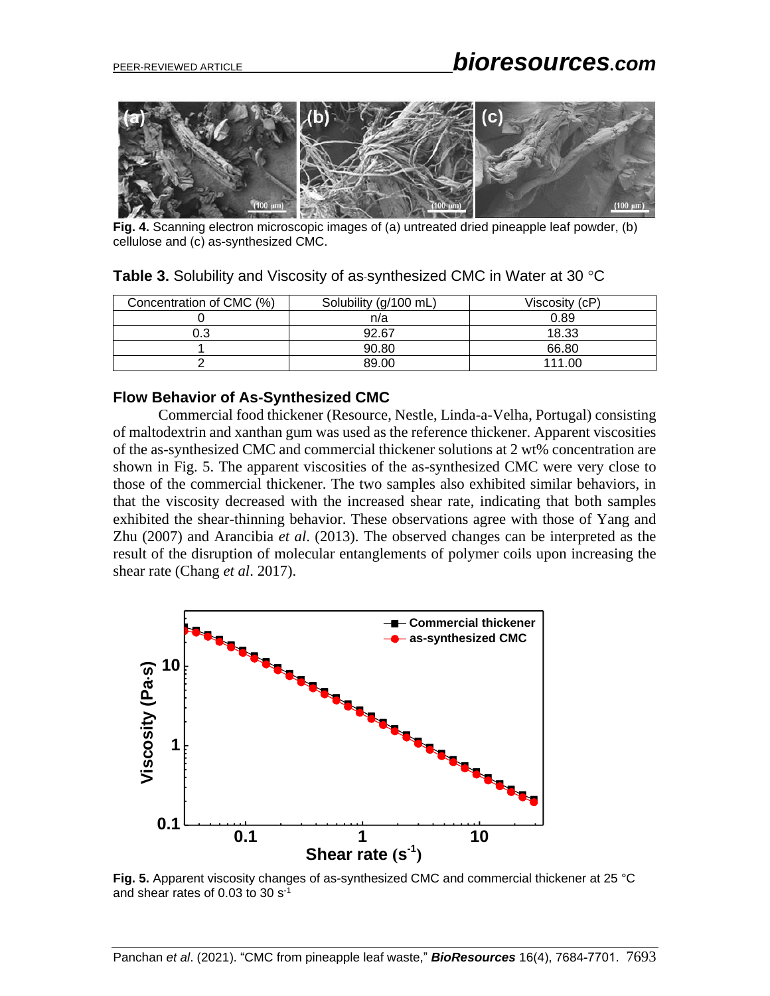

**Fig. 4.** Scanning electron microscopic images of (a) untreated dried pineapple leaf powder, (b) cellulose and (c) as-synthesized CMC.

| Concentration of CMC (%) | Solubility (g/100 mL) | Viscosity (cP) |
|--------------------------|-----------------------|----------------|
|                          | n/a                   | 0.89           |
| 0.3                      | 92.67                 | 18.33          |
|                          | 90.80                 | 66.80          |
|                          | 89.00                 | 111.00         |

**Table 3.** Solubility and Viscosity of as-synthesized CMC in Water at 30 °C

#### **Flow Behavior of As-Synthesized CMC**

Commercial food thickener (Resource, Nestle, Linda-a-Velha, Portugal) consisting of maltodextrin and xanthan gum was used as the reference thickener. Apparent viscosities of the as-synthesized CMC and commercial thickener solutions at 2 wt% concentration are shown in Fig. 5. The apparent viscosities of the as-synthesized CMC were very close to those of the commercial thickener. The two samples also exhibited similar behaviors, in that the viscosity decreased with the increased shear rate, indicating that both samples exhibited the shear-thinning behavior. These observations agree with those of Yang and Zhu (2007) and Arancibia *et al*. (2013). The observed changes can be interpreted as the result of the disruption of molecular entanglements of polymer coils upon increasing the shear rate (Chang *et al*. 2017).



**Fig. 5.** Apparent viscosity changes of as-synthesized CMC and commercial thickener at 25 °C and shear rates of 0.03 to 30 s-1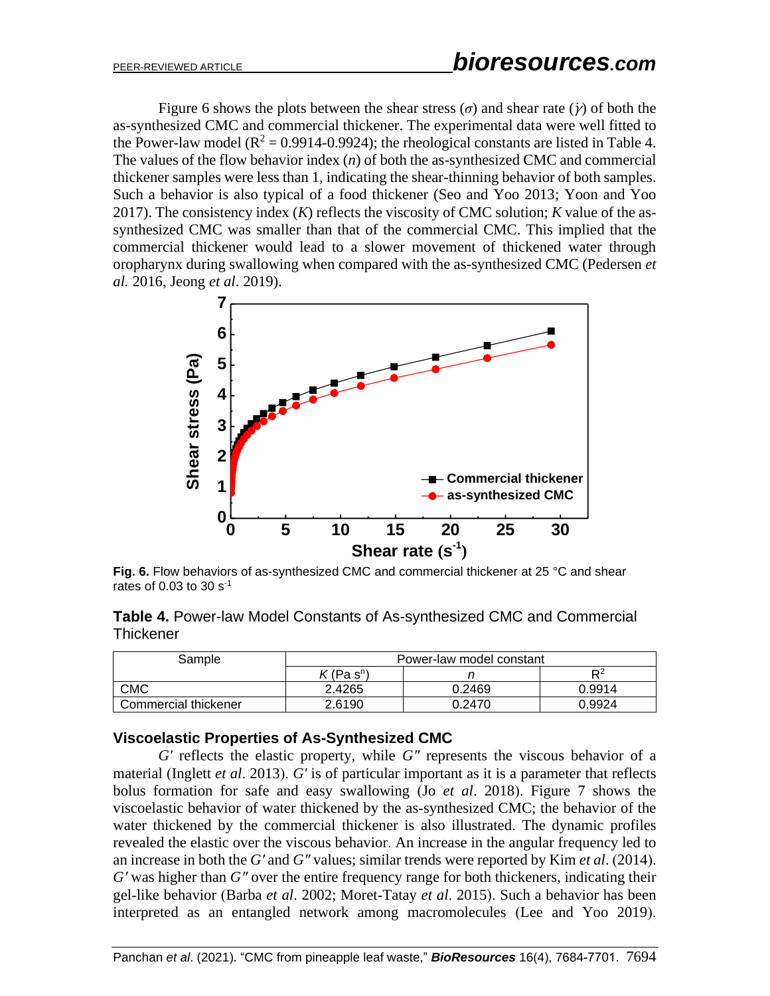Figure 6 shows the plots between the shear stress  $(\sigma)$  and shear rate  $(\gamma)$  of both the as-synthesized CMC and commercial thickener. The experimental data were well fitted to the Power-law model ( $R^2 = 0.9914 - 0.9924$ ); the rheological constants are listed in Table 4. The values of the flow behavior index (*n*) of both the as-synthesized CMC and commercial thickener samples were less than 1, indicating the shear-thinning behavior of both samples. Such a behavior is also typical of a food thickener (Seo and Yoo 2013; Yoon and Yoo 2017). The consistency index (*K*) reflects the viscosity of CMC solution; *K* value of the assynthesized CMC was smaller than that of the commercial CMC. This implied that the commercial thickener would lead to a slower movement of thickened water through oropharynx during swallowing when compared with the as-synthesized CMC (Pedersen *et al.* 2016, Jeong *et al*. 2019).



**Fig. 6.** Flow behaviors of as-synthesized CMC and commercial thickener at 25 °C and shear rates of 0.03 to 30  $s^{-1}$ 

**Table 4.** Power-law Model Constants of As-synthesized CMC and Commercial **Thickener** 

| Sample               | Power-law model constant |        |        |  |
|----------------------|--------------------------|--------|--------|--|
|                      | $\mathcal{K}$ (Pa sʰ)    |        | D2     |  |
| <b>CMC</b>           | 2.4265                   | 0.2469 | 0.9914 |  |
| Commercial thickener | 2.6190                   | 0.2470 | 0.9924 |  |

#### **Viscoelastic Properties of As-Synthesized CMC**

*G'* reflects the elastic property, while *G"* represents the viscous behavior of a material (Inglett *et al*. 2013). *G'* is of particular important as it is a parameter that reflects bolus formation for safe and easy swallowing (Jo *et al*. 2018). Figure 7 shows the viscoelastic behavior of water thickened by the as-synthesized CMC; the behavior of the water thickened by the commercial thickener is also illustrated. The dynamic profiles revealed the elastic over the viscous behavior. An increase in the angular frequency led to an increase in both the *G′* and *G″* values; similar trends were reported by Kim *et al*. (2014). *G′* was higher than *G″* over the entire frequency range for both thickeners, indicating their gel-like behavior (Barba *et al*. 2002; Moret-Tatay *et al*. 2015). Such a behavior has been interpreted as an entangled network among macromolecules (Lee and Yoo 2019).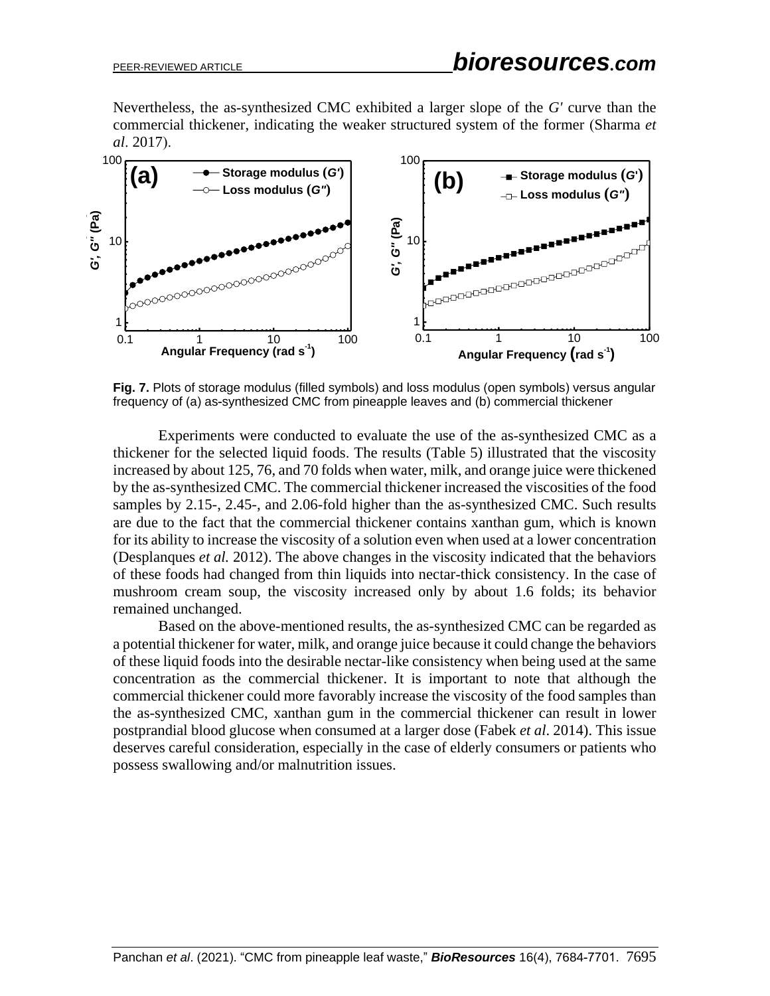Nevertheless, the as-synthesized CMC exhibited a larger slope of the *G'* curve than the commercial thickener, indicating the weaker structured system of the former (Sharma *et al*. 2017).



**Fig. 7.** Plots of storage modulus (filled symbols) and loss modulus (open symbols) versus angular frequency of (a) as-synthesized CMC from pineapple leaves and (b) commercial thickener

Experiments were conducted to evaluate the use of the as-synthesized CMC as a thickener for the selected liquid foods. The results (Table 5) illustrated that the viscosity increased by about 125, 76, and 70 folds when water, milk, and orange juice were thickened by the as-synthesized CMC. The commercial thickener increased the viscosities of the food samples by 2.15-, 2.45-, and 2.06-fold higher than the as-synthesized CMC. Such results are due to the fact that the commercial thickener contains xanthan gum, which is known for its ability to increase the viscosity of a solution even when used at a lower concentration (Desplanques *et al.* 2012). The above changes in the viscosity indicated that the behaviors of these foods had changed from thin liquids into nectar-thick consistency. In the case of mushroom cream soup, the viscosity increased only by about 1.6 folds; its behavior remained unchanged.

Based on the above-mentioned results, the as-synthesized CMC can be regarded as a potential thickener for water, milk, and orange juice because it could change the behaviors of these liquid foods into the desirable nectar-like consistency when being used at the same concentration as the commercial thickener. It is important to note that although the commercial thickener could more favorably increase the viscosity of the food samples than the as-synthesized CMC, xanthan gum in the commercial thickener can result in lower postprandial blood glucose when consumed at a larger dose (Fabek *et al*. 2014). This issue deserves careful consideration, especially in the case of elderly consumers or patients who possess swallowing and/or malnutrition issues.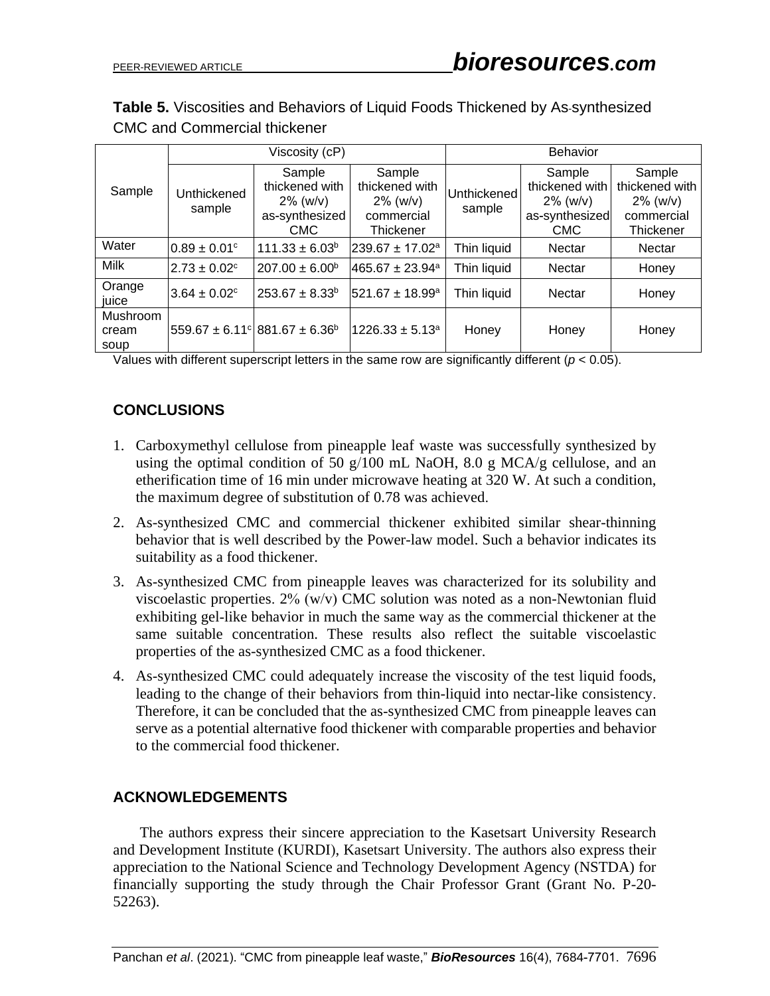**Table 5.** Viscosities and Behaviors of Liquid Foods Thickened by As-synthesized CMC and Commercial thickener

|                           | Viscosity (cP)               |                                                                         |                                                                    | <b>Behavior</b>       |                                                                         |                                                                    |
|---------------------------|------------------------------|-------------------------------------------------------------------------|--------------------------------------------------------------------|-----------------------|-------------------------------------------------------------------------|--------------------------------------------------------------------|
| Sample                    | Unthickened<br>sample        | Sample<br>thickened with<br>$2\%$ (w/v)<br>as-synthesized<br><b>CMC</b> | Sample<br>thickened with<br>$2\%$ (w/v)<br>commercial<br>Thickener | Unthickened<br>sample | Sample<br>thickened with<br>$2\%$ (w/v)<br>as-synthesized<br><b>CMC</b> | Sample<br>thickened with<br>$2\%$ (w/v)<br>commercial<br>Thickener |
| Water                     | $0.89 \pm 0.01$ <sup>c</sup> | $111.33 \pm 6.03^b$                                                     | $239.67 \pm 17.02^a$                                               | Thin liquid           | Nectar                                                                  | Nectar                                                             |
| Milk                      | $2.73 \pm 0.02$ <sup>c</sup> | $207.00 \pm 6.00^{\circ}$                                               | $465.67 \pm 23.94$ <sup>a</sup>                                    | Thin liquid           | Nectar                                                                  | Honey                                                              |
| Orange<br>iuice           | $13.64 \pm 0.02^{\circ}$     | $253.67 \pm 8.33^b$                                                     | 521.67 ± 18.99 <sup>a</sup>                                        | Thin liquid           | Nectar                                                                  | Honey                                                              |
| Mushroom<br>cream<br>soup |                              | $ 559.67 \pm 6.11^{\circ} 881.67 \pm 6.36^{\circ} $                     | $1226.33 \pm 5.13^a$                                               | Honey                 | Honey                                                                   | Honey                                                              |

Values with different superscript letters in the same row are significantly different (*p* < 0.05).

# **CONCLUSIONS**

- 1. Carboxymethyl cellulose from pineapple leaf waste was successfully synthesized by using the optimal condition of 50 g/100 mL NaOH, 8.0 g MCA/g cellulose, and an etherification time of 16 min under microwave heating at 320 W. At such a condition, the maximum degree of substitution of 0.78 was achieved.
- 2. As-synthesized CMC and commercial thickener exhibited similar shear-thinning behavior that is well described by the Power-law model. Such a behavior indicates its suitability as a food thickener.
- 3. As-synthesized CMC from pineapple leaves was characterized for its solubility and viscoelastic properties.  $2\%$  (w/v) CMC solution was noted as a non-Newtonian fluid exhibiting gel-like behavior in much the same way as the commercial thickener at the same suitable concentration. These results also reflect the suitable viscoelastic properties of the as-synthesized CMC as a food thickener.
- 4. As-synthesized CMC could adequately increase the viscosity of the test liquid foods, leading to the change of their behaviors from thin-liquid into nectar-like consistency. Therefore, it can be concluded that the as-synthesized CMC from pineapple leaves can serve as a potential alternative food thickener with comparable properties and behavior to the commercial food thickener.

# **ACKNOWLEDGEMENTS**

The authors express their sincere appreciation to the Kasetsart University Research and Development Institute (KURDI), Kasetsart University. The authors also express their appreciation to the National Science and Technology Development Agency (NSTDA) for financially supporting the study through the Chair Professor Grant (Grant No. P-20- 52263).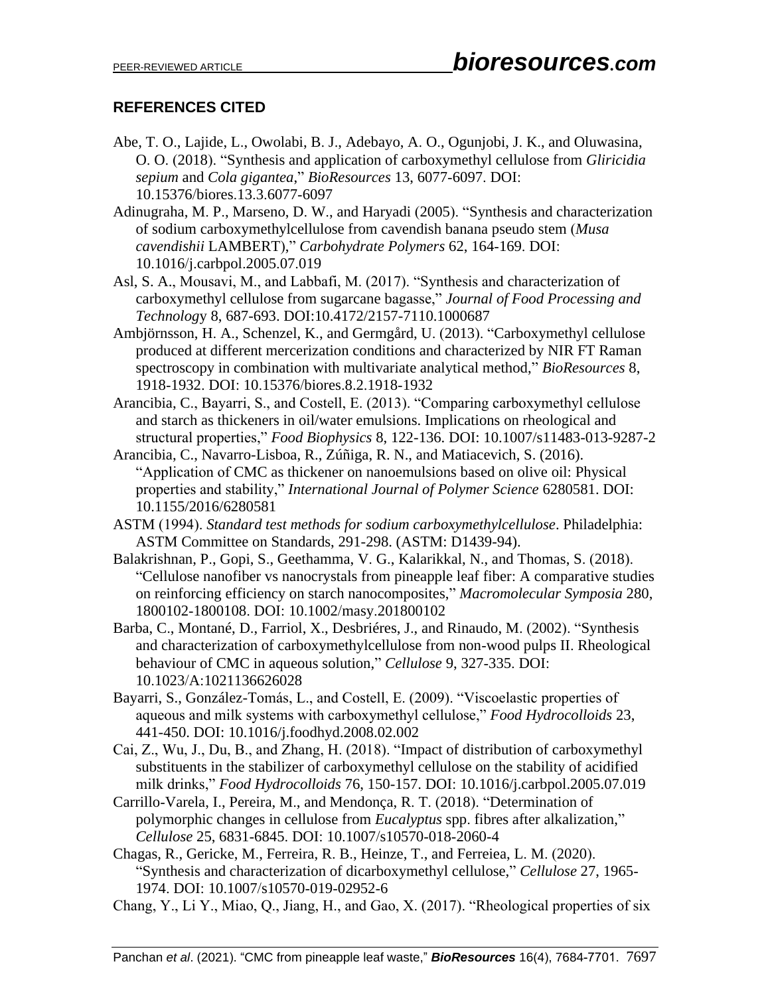# **REFERENCES CITED**

- Abe, T. O., Lajide, L., Owolabi, B. J., Adebayo, A. O., Ogunjobi, J. K., and Oluwasina, O. O. (2018). "Synthesis and application of carboxymethyl cellulose from *Gliricidia sepium* and *Cola gigantea*," *BioResources* 13, 6077-6097. DOI: 10.15376/biores.13.3.6077-6097
- Adinugraha, M. P., Marseno, D. W., and Haryadi (2005). "Synthesis and characterization of sodium carboxymethylcellulose from cavendish banana pseudo stem (*Musa cavendishii* LAMBERT)," *Carbohydrate Polymers* 62, 164-169. DOI: 10.1016/j.carbpol.2005.07.019
- Asl, S. A., Mousavi, M., and Labbafi, M. (2017). "Synthesis and characterization of carboxymethyl cellulose from sugarcane bagasse," *Journal of Food Processing and Technolog*y 8, 687-693. DOI:10.4172/2157-7110.1000687
- Ambjörnsson, H. A., Schenzel, K., and Germgård, U. (2013). "Carboxymethyl cellulose produced at different mercerization conditions and characterized by NIR FT Raman spectroscopy in combination with multivariate analytical method," *BioResources* 8, 1918-1932. DOI: 10.15376/biores.8.2.1918-1932
- Arancibia, C., Bayarri, S., and Costell, E. (2013). "Comparing carboxymethyl cellulose and starch as thickeners in oil/water emulsions. Implications on rheological and structural properties," *Food Biophysics* 8, 122-136. DOI: 10.1007/s11483-013-9287-2
- Arancibia, C., Navarro-Lisboa, R., Zúñiga, R. N., and Matiacevich, S. (2016). "Application of CMC as thickener on nanoemulsions based on olive oil: Physical properties and stability," *International Journal of Polymer Science* 6280581. DOI: 10.1155/2016/6280581
- ASTM (1994). *Standard test methods for sodium carboxymethylcellulose*. Philadelphia: ASTM Committee on Standards, 291-298. (ASTM: D1439-94).
- Balakrishnan, P., Gopi, S., Geethamma, V. G., Kalarikkal, N., and Thomas, S. (2018). "Cellulose nanofiber vs nanocrystals from pineapple leaf fiber: A comparative studies on reinforcing efficiency on starch nanocomposites," *Macromolecular Symposia* 280, 1800102-1800108. DOI: 10.1002/masy.201800102
- Barba, C., Montané, D., Farriol, X., Desbriéres, J., and Rinaudo, M. (2002). "Synthesis and characterization of carboxymethylcellulose from non-wood pulps II. Rheological behaviour of CMC in aqueous solution," *Cellulose* 9, 327-335. DOI: 10.1023/A:1021136626028
- Bayarri, S., González-Tomás, L., and Costell, E. (2009). "Viscoelastic properties of aqueous and milk systems with carboxymethyl cellulose," *Food Hydrocolloids* 23, 441-450. DOI: 10.1016/j.foodhyd.2008.02.002
- Cai, Z., Wu, J., Du, B., and Zhang, H. (2018). "Impact of distribution of carboxymethyl substituents in the stabilizer of carboxymethyl cellulose on the stability of acidified milk drinks," *Food Hydrocolloids* 76, 150-157. DOI: 10.1016/j.carbpol.2005.07.019
- Carrillo-Varela, I., Pereira, M., and Mendonça, R. T. (2018). "Determination of polymorphic changes in cellulose from *Eucalyptus* spp. fibres after alkalization," *Cellulose* 25, 6831-6845. DOI: 10.1007/s10570-018-2060-4
- Chagas, R., Gericke, M., Ferreira, R. B., Heinze, T., and Ferreiea, L. M. (2020). "Synthesis and characterization of dicarboxymethyl cellulose," *Cellulose* 27, 1965- 1974. DOI: 10.1007/s10570-019-02952-6
- Chang, Y., Li Y., Miao, Q., Jiang, H., and Gao, X. (2017). "Rheological properties of six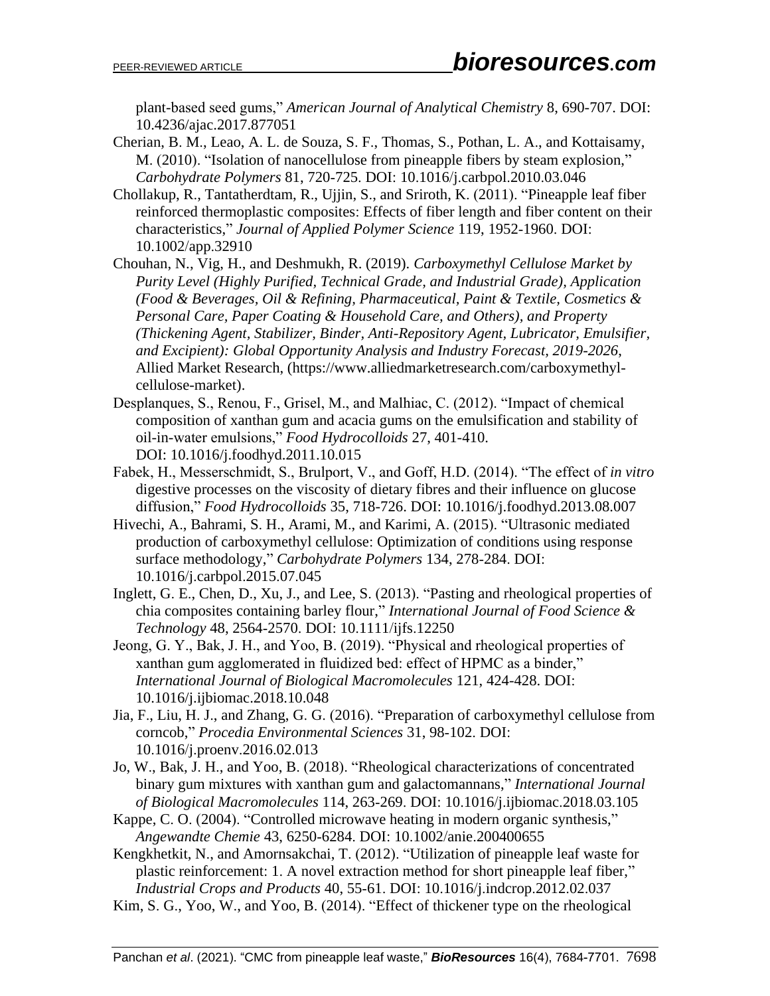plant-based seed gums," *American Journal of Analytical Chemistry* 8, 690-707. DOI: 10.4236/ajac.2017.877051

- Cherian, B. M., Leao, A. L. de Souza, S. F., Thomas, S., Pothan, L. A., and Kottaisamy, M. (2010). "Isolation of nanocellulose from pineapple fibers by steam explosion," *Carbohydrate Polymers* 81, 720-725. DOI: 10.1016/j.carbpol.2010.03.046
- Chollakup, R., Tantatherdtam, R., Ujjin, S., and Sriroth, K. (2011). "Pineapple leaf fiber reinforced thermoplastic composites: Effects of fiber length and fiber content on their characteristics," *Journal of Applied Polymer Science* 119, 1952-1960. DOI: 10.1002/app.32910
- Chouhan, N., Vig, H., and Deshmukh, R. (2019). *Carboxymethyl Cellulose Market by Purity Level (Highly Purified, Technical Grade, and Industrial Grade), Application (Food & Beverages, Oil & Refining, Pharmaceutical, Paint & Textile, Cosmetics & Personal Care, Paper Coating & Household Care, and Others), and Property (Thickening Agent, Stabilizer, Binder, Anti-Repository Agent, Lubricator, Emulsifier, and Excipient): Global Opportunity Analysis and Industry Forecast, 2019-2026*, Allied Market Research, [\(https://www.alliedmarketresearch.com/carboxymethyl](https://www.alliedmarketresearch.com/carboxymethyl-cellulose-market)[cellulose-market\)](https://www.alliedmarketresearch.com/carboxymethyl-cellulose-market).
- Desplanques, S., Renou, F., Grisel, M., and Malhiac, C. (2012). "Impact of chemical composition of xanthan gum and acacia gums on the emulsification and stability of oil-in-water emulsions," *Food Hydrocolloids* 27, 401-410. DOI: 10.1016/j.foodhyd.2011.10.015
- Fabek, H., Messerschmidt, S., Brulport, V., and Goff, H.D. (2014). "The effect of *in vitro* digestive processes on the viscosity of dietary fibres and their influence on glucose diffusion," *Food Hydrocolloids* 35, 718-726. DOI: [10.1016/j.foodhyd.2013.08.007](https://doi.org/10.1016/j.foodhyd.2013.08.007)
- Hivechi, A., Bahrami, S. H., Arami, M., and Karimi, A. (2015). "Ultrasonic mediated production of carboxymethyl cellulose: Optimization of conditions using response surface methodology," *Carbohydrate Polymers* 134, 278-284. DOI: 10.1016/j.carbpol.2015.07.045
- Inglett, G. E., Chen, D., Xu, J., and Lee, S. (2013). "Pasting and rheological properties of chia composites containing barley flour," *International Journal of Food Science & Technology* 48, 2564-2570. DOI: 10.1111/ijfs.12250
- Jeong, G. Y., Bak, J. H., and Yoo, B. (2019). "Physical and rheological properties of xanthan gum agglomerated in fluidized bed: effect of HPMC as a binder," *International Journal of Biological Macromolecules* 121, 424-428. DOI: [10.1016/j.ijbiomac.2018.10.048](https://doi.org/10.1016/j.ijbiomac.2018.10.048)
- Jia, F., Liu, H. J., and Zhang, G. G. (2016). "Preparation of carboxymethyl cellulose from corncob," *Procedia Environmental Sciences* 31, 98-102. DOI: 10.1016/j.proenv.2016.02.013
- Jo, W., Bak, J. H., and Yoo, B. (2018). "Rheological characterizations of concentrated binary gum mixtures with xanthan gum and galactomannans," *International Journal of Biological Macromolecules* 114, 263-269. DOI: 10.1016/j.ijbiomac.2018.03.105
- Kappe, C. O. (2004). "Controlled microwave heating in modern organic synthesis," *Angewandte Chemie* 43, 6250-6284. DOI: 10.1002/anie.200400655

Kengkhetkit, N., and Amornsakchai, T. (2012). "Utilization of pineapple leaf waste for plastic reinforcement: 1. A novel extraction method for short pineapple leaf fiber," *Industrial Crops and Products* 40, 55-61. DOI: 10.1016/j.indcrop.2012.02.037

Kim, S. G., Yoo, W., and Yoo, B. (2014). "Effect of thickener type on the rheological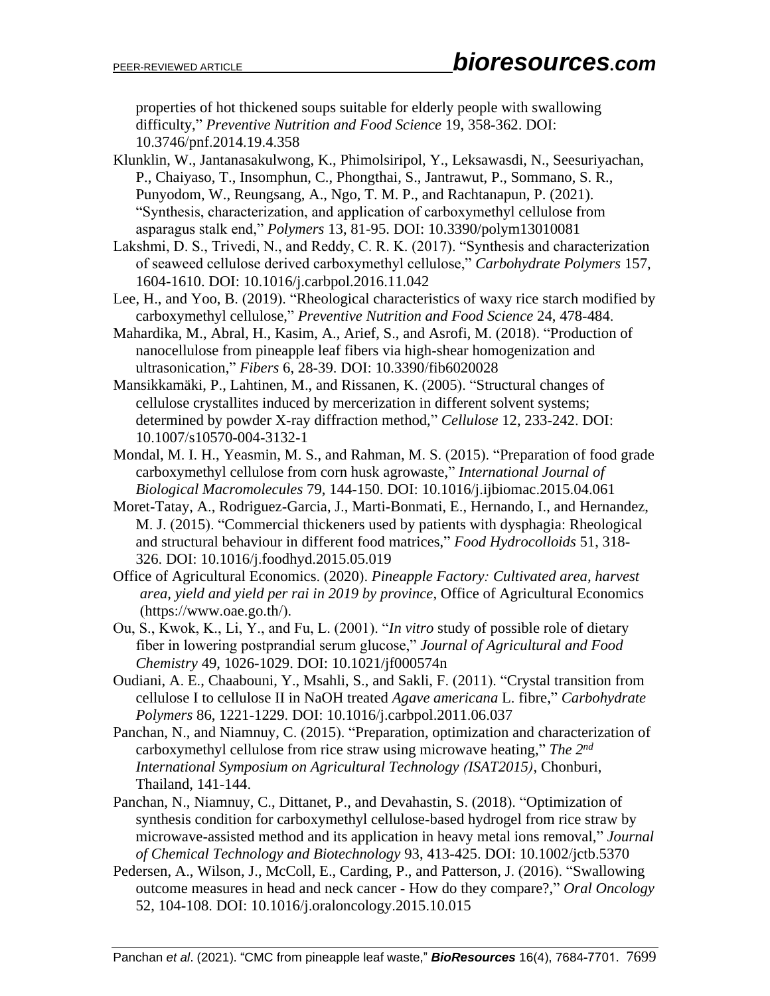properties of hot thickened soups suitable for elderly people with swallowing difficulty," *Preventive Nutrition and Food Science* 19, 358-362. DOI: 10.3746/pnf.2014.19.4.358

- Klunklin, W., Jantanasakulwong, K., Phimolsiripol, Y., Leksawasdi, N., Seesuriyachan, P., Chaiyaso, T., Insomphun, C., Phongthai, S., Jantrawut, P., Sommano, S. R., Punyodom, W., Reungsang, A., Ngo, T. M. P., and Rachtanapun, P. (2021). "Synthesis, characterization, and application of carboxymethyl cellulose from asparagus stalk end," *Polymers* 13, 81-95. DOI: 10.3390/polym13010081
- Lakshmi, D. S., Trivedi, N., and Reddy, C. R. K. (2017). "Synthesis and characterization of seaweed cellulose derived carboxymethyl cellulose," *Carbohydrate Polymers* 157, 1604-1610. DOI: 10.1016/j.carbpol.2016.11.042
- Lee, H., and Yoo, B. (2019). "Rheological characteristics of waxy rice starch modified by carboxymethyl cellulose," *Preventive Nutrition and Food Science* 24, 478-484.
- Mahardika, M., Abral, H., Kasim, A., Arief, S., and Asrofi, M. (2018). "Production of nanocellulose from pineapple leaf fibers via high-shear homogenization and ultrasonication," *Fibers* 6, 28-39. DOI: 10.3390/fib6020028
- Mansikkamäki, P., Lahtinen, M., and Rissanen, K. (2005). "Structural changes of cellulose crystallites induced by mercerization in different solvent systems; determined by powder X-ray diffraction method," *Cellulose* 12, 233-242. DOI: 10.1007/s10570-004-3132-1
- Mondal, M. I. H., Yeasmin, M. S., and Rahman, M. S. (2015). "Preparation of food grade carboxymethyl cellulose from corn husk agrowaste," *International Journal of Biological Macromolecules* 79, 144-150. DOI: 10.1016/j.ijbiomac.2015.04.061
- Moret-Tatay, A., Rodriguez-Garcia, J., Marti-Bonmati, E., Hernando, I., and Hernandez, M. J. (2015). "Commercial thickeners used by patients with dysphagia: Rheological and structural behaviour in different food matrices," *Food Hydrocolloids* 51, 318- 326. DOI: 10.1016/j.foodhyd.2015.05.019
- Office of Agricultural Economics. (2020). *Pineapple Factory: Cultivated area, harvest area, yield and yield per rai in 2019 by province*, Office of Agricultural Economics (https://www.oae.go.th/).
- Ou, S., Kwok, K., Li, Y., and Fu, L. (2001). "*In vitro* study of possible role of dietary fiber in lowering postprandial serum glucose," *Journal of Agricultural and Food Chemistry* 49, 1026-1029. DOI: [10.1021/jf000574n](https://doi.org/10.1021/jf000574n)
- Oudiani, A. E., Chaabouni, Y., Msahli, S., and Sakli, F. (2011). "Crystal transition from cellulose I to cellulose II in NaOH treated *Agave americana* L. fibre," *Carbohydrate Polymers* 86, 1221-1229. DOI: 10.1016/j.carbpol.2011.06.037
- Panchan, N., and Niamnuy, C. (2015). "Preparation, optimization and characterization of carboxymethyl cellulose from rice straw using microwave heating," *The 2nd International Symposium on Agricultural Technology (ISAT2015)*, Chonburi, Thailand, 141-144.
- Panchan, N., Niamnuy, C., Dittanet, P., and Devahastin, S. (2018). "Optimization of synthesis condition for carboxymethyl cellulose-based hydrogel from rice straw by microwave-assisted method and its application in heavy metal ions removal," *Journal of Chemical Technology and Biotechnology* 93, 413-425. DOI: 10.1002/jctb.5370
- Pedersen, A., Wilson, J., McColl, E., Carding, P., and Patterson, J. (2016). "Swallowing outcome measures in head and neck cancer - How do they compare?," *Oral Oncology* 52, 104-108. DOI: 10.1016/j.oraloncology.2015.10.015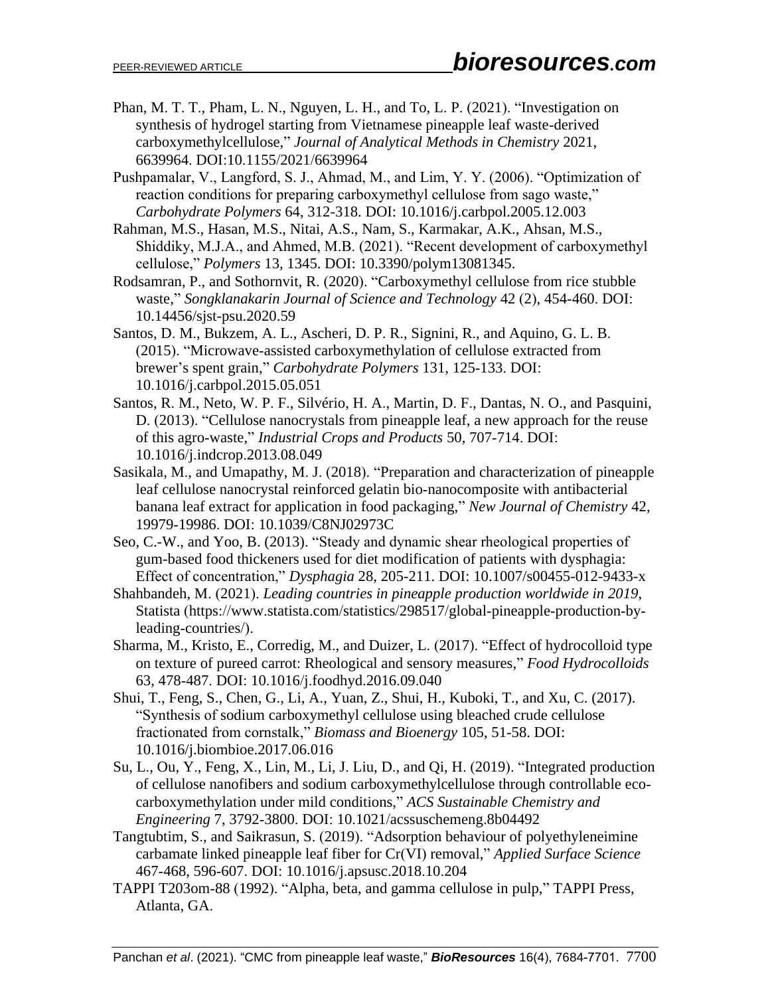- Phan, M. T. T., Pham, L. N., Nguyen, L. H., and To, L. P. (2021). "Investigation on synthesis of hydrogel starting from Vietnamese pineapple leaf waste-derived carboxymethylcellulose," *Journal of Analytical Methods in Chemistry* 2021, 6639964. DOI:10.1155/2021/6639964
- Pushpamalar, V., Langford, S. J., Ahmad, M., and Lim, Y. Y. (2006). "Optimization of reaction conditions for preparing carboxymethyl cellulose from sago waste," *Carbohydrate Polymers* 64, 312-318. DOI: 10.1016/j.carbpol.2005.12.003

Rahman, M.S., Hasan, M.S., Nitai, A.S., Nam, S., Karmakar, A.K., Ahsan, M.S., Shiddiky, M.J.A., and Ahmed, M.B. (2021). "Recent development of carboxymethyl cellulose," *Polymers* 13, 1345. DOI: 10.3390/polym13081345.

- Rodsamran, P., and Sothornvit, R. (2020). "Carboxymethyl cellulose from rice stubble waste," *Songklanakarin Journal of Science and Technology* 42 (2), 454-460. DOI: 10.14456/sjst-psu.2020.59
- Santos, D. M., Bukzem, A. L., Ascheri, D. P. R., Signini, R., and Aquino, G. L. B. (2015). "Microwave-assisted carboxymethylation of cellulose extracted from brewer's spent grain," *Carbohydrate Polymers* 131, 125-133. DOI: 10.1016/j.carbpol.2015.05.051
- Santos, R. M., Neto, W. P. F., Silvério, H. A., Martin, D. F., Dantas, N. O., and Pasquini, D. (2013). "Cellulose nanocrystals from pineapple leaf, a new approach for the reuse of this agro-waste," *Industrial Crops and Products* 50, 707-714. DOI: 10.1016/j.indcrop.2013.08.049
- Sasikala, M., and Umapathy, M. J. (2018). "Preparation and characterization of pineapple leaf cellulose nanocrystal reinforced gelatin bio-nanocomposite with antibacterial banana leaf extract for application in food packaging," *New Journal of Chemistry* 42, 19979-19986. DOI: 10.1039/C8NJ02973C
- Seo, C.-W., and Yoo, B. (2013). "Steady and dynamic shear rheological properties of gum-based food thickeners used for diet modification of patients with dysphagia: Effect of concentration," *Dysphagia* 28, 205-211. DOI: 10.1007/s00455-012-9433-x
- Shahbandeh, M. (2021). *Leading countries in pineapple production worldwide in 2019*, Statista (https://www.statista.com/statistics/298517/global-pineapple-production-byleading-countries/).
- Sharma, M., Kristo, E., Corredig, M., and Duizer, L. (2017). "Effect of hydrocolloid type on texture of pureed carrot: Rheological and sensory measures," *Food Hydrocolloids* 63, 478-487. DOI: 10.1016/j.foodhyd.2016.09.040
- Shui, T., Feng, S., Chen, G., Li, A., Yuan, Z., Shui, H., Kuboki, T., and Xu, C. (2017). "Synthesis of sodium carboxymethyl cellulose using bleached crude cellulose fractionated from cornstalk," *Biomass and Bioenergy* 105, 51-58. DOI: 10.1016/j.biombioe.2017.06.016
- Su, L., Ou, Y., Feng, X., Lin, M., Li, J. Liu, D., and Qi, H. (2019). "Integrated production of cellulose nanofibers and sodium carboxymethylcellulose through controllable ecocarboxymethylation under mild conditions," *ACS Sustainable Chemistry and Engineering* 7, 3792-3800. DOI: 10.1021/acssuschemeng.8b04492
- Tangtubtim, S., and Saikrasun, S. (2019). "Adsorption behaviour of polyethyleneimine carbamate linked pineapple leaf fiber for Cr(VI) removal," *Applied Surface Science* 467-468, 596-607. DOI: 10.1016/j.apsusc.2018.10.204
- TAPPI T203om-88 (1992). "Alpha, beta, and gamma cellulose in pulp," TAPPI Press, Atlanta, GA.